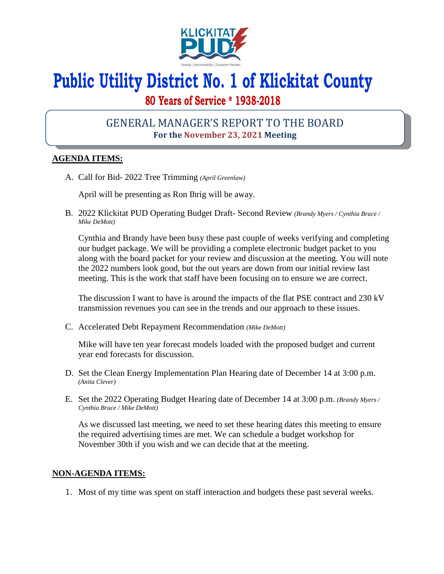

# **Public Utility District No. 1 of Klickitat County**

## **80 Years of Service \* 1938-2018**

### GENERAL MANAGER'S REPORT TO THE BOARD **For the November 23, 2021 Meeting**

#### **AGENDA ITEMS:**

A. Call for Bid- 2022 Tree Trimming *(April Greenlaw)*

April will be presenting as Ron Ihrig will be away.

B. 2022 Klickitat PUD Operating Budget Draft- Second Review *(Brandy Myers / Cynthia Bruce / Mike DeMott)*

Cynthia and Brandy have been busy these past couple of weeks verifying and completing our budget package. We will be providing a complete electronic budget packet to you along with the board packet for your review and discussion at the meeting. You will note the 2022 numbers look good, but the out years are down from our initial review last meeting. This is the work that staff have been focusing on to ensure we are correct.

The discussion I want to have is around the impacts of the flat PSE contract and 230 kV transmission revenues you can see in the trends and our approach to these issues.

C. Accelerated Debt Repayment Recommendation *(Mike DeMott)*

Mike will have ten year forecast models loaded with the proposed budget and current year end forecasts for discussion.

- D. Set the Clean Energy Implementation Plan Hearing date of December 14 at 3:00 p.m. *(Anita Clever)*
- E. Set the 2022 Operating Budget Hearing date of December 14 at 3:00 p.m. *(Brandy Myers / Cynthia Bruce / Mike DeMott)*

As we discussed last meeting, we need to set these hearing dates this meeting to ensure the required advertising times are met. We can schedule a budget workshop for November 30th if you wish and we can decide that at the meeting.

#### **NON-AGENDA ITEMS:**

1. Most of my time was spent on staff interaction and budgets these past several weeks.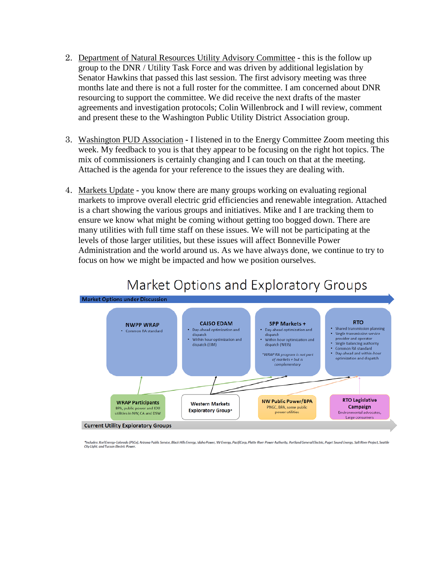- 2. Department of Natural Resources Utility Advisory Committee **-** this is the follow up group to the DNR / Utility Task Force and was driven by additional legislation by Senator Hawkins that passed this last session. The first advisory meeting was three months late and there is not a full roster for the committee. I am concerned about DNR resourcing to support the committee. We did receive the next drafts of the master agreements and investigation protocols; Colin Willenbrock and I will review, comment and present these to the Washington Public Utility District Association group.
- 3. Washington PUD Association **-** I listened in to the Energy Committee Zoom meeting this week. My feedback to you is that they appear to be focusing on the right hot topics. The mix of commissioners is certainly changing and I can touch on that at the meeting. Attached is the agenda for your reference to the issues they are dealing with.
- 4. Markets Update **-** you know there are many groups working on evaluating regional markets to improve overall electric grid efficiencies and renewable integration. Attached is a chart showing the various groups and initiatives. Mike and I are tracking them to ensure we know what might be coming without getting too bogged down. There are many utilities with full time staff on these issues. We will not be participating at the levels of those larger utilities, but these issues will affect Bonneville Power Administration and the world around us. As we have always done, we continue to try to focus on how we might be impacted and how we position ourselves.



## Market Options and Exploratory Groups

Includes: Xcel Energy-Colorado (PSCo), Arizona Public Service, Black Hills Energy, Idaho Power, NV Energy, PacifiCorp, Platte River Power Authority, Portland General Electric, Puget Sound Energy, Salt River Project, Seattl City Light, and Tucson Electric Power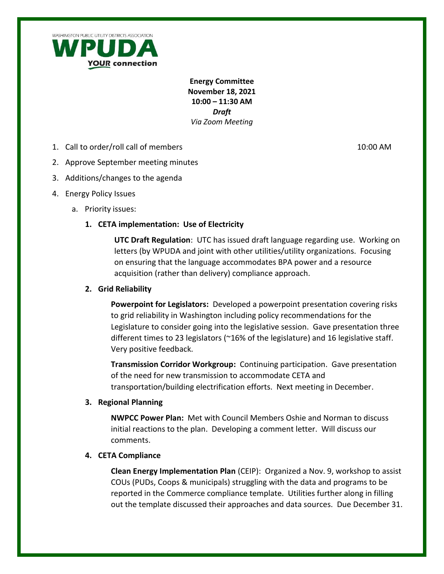

**Energy Committee November 18, 2021 10:00 – 11:30 AM** *Draft Via Zoom Meeting* 

1. Call to order/roll call of members 10:00 AM

- 2. Approve September meeting minutes
- 3. Additions/changes to the agenda
- 4. Energy Policy Issues
	- a. Priority issues:

#### **1. CETA implementation: Use of Electricity**

**UTC Draft Regulation**: UTC has issued draft language regarding use. Working on letters (by WPUDA and joint with other utilities/utility organizations. Focusing on ensuring that the language accommodates BPA power and a resource acquisition (rather than delivery) compliance approach.

#### **2. Grid Reliability**

**Powerpoint for Legislators:** Developed a powerpoint presentation covering risks to grid reliability in Washington including policy recommendations for the Legislature to consider going into the legislative session. Gave presentation three different times to 23 legislators (~16% of the legislature) and 16 legislative staff. Very positive feedback.

**Transmission Corridor Workgroup:** Continuing participation. Gave presentation of the need for new transmission to accommodate CETA and transportation/building electrification efforts. Next meeting in December.

#### **3. Regional Planning**

**NWPCC Power Plan:** Met with Council Members Oshie and Norman to discuss initial reactions to the plan. Developing a comment letter. Will discuss our comments.

#### **4. CETA Compliance**

**Clean Energy Implementation Plan** (CEIP): Organized a Nov. 9, workshop to assist COUs (PUDs, Coops & municipals) struggling with the data and programs to be reported in the Commerce compliance template. Utilities further along in filling out the template discussed their approaches and data sources. Due December 31.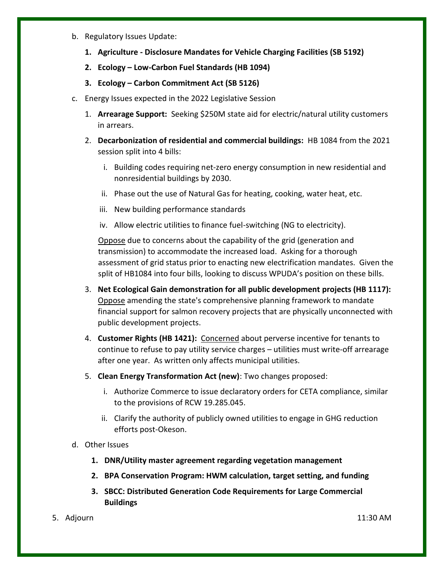- b. Regulatory Issues Update:
	- **1. Agriculture - Disclosure Mandates for Vehicle Charging Facilities (SB 5192)**
	- **2. Ecology – Low-Carbon Fuel Standards (HB 1094)**
	- **3. Ecology – Carbon Commitment Act (SB 5126)**
- c. Energy Issues expected in the 2022 Legislative Session
	- 1. **Arrearage Support:** Seeking \$250M state aid for electric/natural utility customers in arrears.
	- 2. **Decarbonization of residential and commercial buildings:** HB 1084 from the 2021 session split into 4 bills:
		- i. Building codes requiring net-zero energy consumption in new residential and nonresidential buildings by 2030.
		- ii. Phase out the use of Natural Gas for heating, cooking, water heat, etc.
		- iii. New building performance standards
		- iv. Allow electric utilities to finance fuel-switching (NG to electricity).

Oppose due to concerns about the capability of the grid (generation and transmission) to accommodate the increased load. Asking for a thorough assessment of grid status prior to enacting new electrification mandates. Given the split of HB1084 into four bills, looking to discuss WPUDA's position on these bills.

- 3. **Net Ecological Gain demonstration for all public development projects (HB 1117):**  Oppose amending the state's comprehensive planning framework to mandate financial support for salmon recovery projects that are physically unconnected with public development projects.
- 4. **Customer Rights (HB 1421):** Concerned about perverse incentive for tenants to continue to refuse to pay utility service charges – utilities must write-off arrearage after one year. As written only affects municipal utilities.
- 5. **Clean Energy Transformation Act (new)**: Two changes proposed:
	- i. Authorize Commerce to issue declaratory orders for CETA compliance, similar to the provisions of RCW 19.285.045.
	- ii. Clarify the authority of publicly owned utilities to engage in GHG reduction efforts post-Okeson.

#### d. Other Issues

- **1. DNR/Utility master agreement regarding vegetation management**
- **2. BPA Conservation Program: HWM calculation, target setting, and funding**
- **3. SBCC: Distributed Generation Code Requirements for Large Commercial Buildings**
- 5. Adjourn 11:30 AM